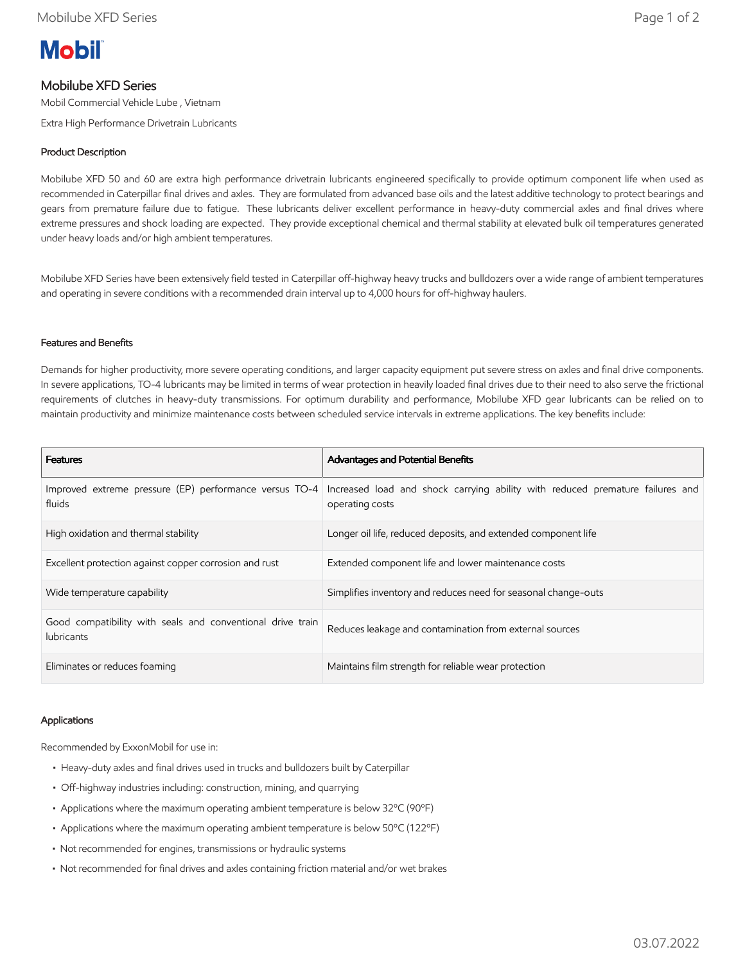

# Mobilube XFD Series

Mobil Commercial Vehicle Lube , Vietnam

Extra High Performance Drivetrain Lubricants

# Product Description

Mobilube XFD 50 and 60 are extra high performance drivetrain lubricants engineered specifically to provide optimum component life when used as recommended in Caterpillar final drives and axles. They are formulated from advanced base oils and the latest additive technology to protect bearings and gears from premature failure due to fatigue. These lubricants deliver excellent performance in heavy-duty commercial axles and final drives where extreme pressures and shock loading are expected. They provide exceptional chemical and thermal stability at elevated bulk oil temperatures generated under heavy loads and/or high ambient temperatures.

Mobilube XFD Series have been extensively field tested in Caterpillar off-highway heavy trucks and bulldozers over a wide range of ambient temperatures and operating in severe conditions with a recommended drain interval up to 4,000 hours for off-highway haulers.

## Features and Benefits

Demands for higher productivity, more severe operating conditions, and larger capacity equipment put severe stress on axles and final drive components. In severe applications, TO-4 lubricants may be limited in terms of wear protection in heavily loaded final drives due to their need to also serve the frictional requirements of clutches in heavy-duty transmissions. For optimum durability and performance, Mobilube XFD gear lubricants can be relied on to maintain productivity and minimize maintenance costs between scheduled service intervals in extreme applications. The key benefits include:

| <b>Features</b>                                                                 | <b>Advantages and Potential Benefits</b>                                                         |
|---------------------------------------------------------------------------------|--------------------------------------------------------------------------------------------------|
| Improved extreme pressure (EP) performance versus TO-4<br>fluids                | Increased load and shock carrying ability with reduced premature failures and<br>operating costs |
| High oxidation and thermal stability                                            | Longer oil life, reduced deposits, and extended component life                                   |
| Excellent protection against copper corrosion and rust                          | Extended component life and lower maintenance costs                                              |
| Wide temperature capability                                                     | Simplifies inventory and reduces need for seasonal change-outs                                   |
| Good compatibility with seals and conventional drive train<br><b>lubricants</b> | Reduces leakage and contamination from external sources                                          |
| Eliminates or reduces foaming                                                   | Maintains film strength for reliable wear protection                                             |

### Applications

Recommended by ExxonMobil for use in:

- Heavy-duty axles and final drives used in trucks and bulldozers built by Caterpillar
- Off-highway industries including: construction, mining, and quarrying
- Applications where the maximum operating ambient temperature is below 32ºC (90ºF)
- Applications where the maximum operating ambient temperature is below 50ºC (122ºF)
- Not recommended for engines, transmissions or hydraulic systems
- Not recommended for final drives and axles containing friction material and/or wet brakes